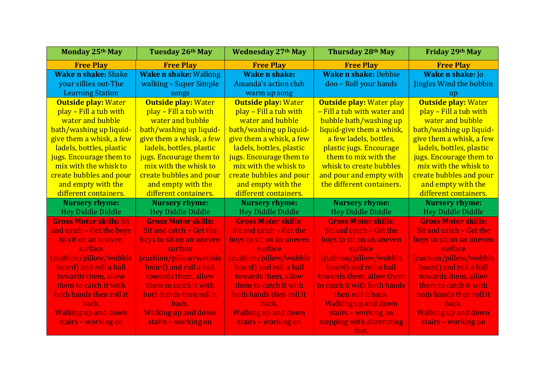| Monday 25th May                | Tuesday 26th May             | <b>Wednesday 27th May</b>  | Thursday 28th May               | Friday 29th May                |
|--------------------------------|------------------------------|----------------------------|---------------------------------|--------------------------------|
| <b>Free Play</b>               | <b>Free Play</b>             | <b>Free Play</b>           | <b>Free Play</b>                | <b>Free Play</b>               |
| <b>Wake n shake: Shake</b>     | <b>Wake n shake: Walking</b> | <b>Wake n shake:</b>       | <b>Wake n shake: Debbie</b>     | <b>Wake n shake: Jo</b>        |
| your sillies out-The           | walking - Super Simple       | Amanda's action club       | doo - Roll your hands           | <b>Jingles Wind the bobbin</b> |
| <b>Learning Station</b>        | songs                        | warm up song               |                                 | up                             |
| <b>Outside play: Water</b>     | <b>Outside play: Water</b>   | <b>Outside play: Water</b> | <b>Outside play: Water play</b> | <b>Outside play: Water</b>     |
| play – Fill a tub with         | play – Fill a tub with       | play – Fill a tub with     | - Fill a tub with water and     | play – Fill a tub with         |
| water and bubble               | water and bubble             | water and bubble           | bubble bath/washing up          | water and bubble               |
| bath/washing up liquid-        | bath/washing up liquid-      | bath/washing up liquid-    | liquid-give them a whisk,       | bath/washing up liquid-        |
| give them a whisk, a few       | give them a whisk, a few     | give them a whisk, a few   | a few ladels, bottles,          | give them a whisk, a few       |
| ladels, bottles, plastic       | ladels, bottles, plastic     | ladels, bottles, plastic   | plastic jugs. Encourage         | ladels, bottles, plastic       |
| jugs. Encourage them to        | jugs. Encourage them to      | jugs. Encourage them to    | them to mix with the            | jugs. Encourage them to        |
| mix with the whisk to          | mix with the whisk to        | mix with the whisk to      | whisk to create bubbles         | mix with the whisk to          |
| create bubbles and pour        | create bubbles and pour      | create bubbles and pour    | and pour and empty with         | create bubbles and pour        |
| and empty with the             | and empty with the           | and empty with the         | the different containers.       | and empty with the             |
| different containers.          | different containers.        | different containers.      |                                 | different containers.          |
| <b>Nursery rhyme:</b>          | <b>Nursery rhyme:</b>        | <b>Nursery rhyme:</b>      | <b>Nursery rhyme:</b>           | <b>Nursery rhyme:</b>          |
| <b>Hey Diddle Diddle</b>       | <b>Hey Diddle Diddle</b>     | <b>Hey Diddle Diddle</b>   | <b>Hey Diddle Diddle</b>        | <b>Hey Diddle Diddle</b>       |
| <b>Gross Motor skills: Sit</b> | <b>Gross Motor skills:</b>   | <b>Gross Motor skills:</b> | <b>Gross Motor skills:</b>      | <b>Gross Motor skills:</b>     |
| and catch - Get the boys       | Sit and catch - Get the      | Sit and catch - Get the    | Sit and catch – Get the         | Sit and catch – Get the        |
| to sit on an uneven            | boys to sit on an uneven     | boys to sit on an uneven   | boys to sit on an uneven        | boys to sit on an uneven       |
| surface                        | surface                      | surface                    | surface                         | surface                        |
| (cushion/pillow/wobble)        | (cushion/pillow/wobble)      | (cushion/pillow/wobble)    | (cushion/pillow/wobble          | (cushion/pillow/wobble)        |
| board) and roll a ball         | board) and roll a ball       | board) and roll a ball     | board) and roll a ball          | board) and roll a ball         |
| towards them, allow            | towards them, allow          | towards them, allow        | towards them, allow them        | towards them, allow            |
| them to catch it with          | them to catch it with        | them to catch it with      | to catch it with both hands     | them to catch it with          |
| both hands then roll it        | both hands then roll it      | both hands then roll it    | then roll it back.              | both hands then roll it        |
| back.                          | back.                        | back.                      | <b>Walking up and down</b>      | back.                          |
| <b>Walking up and down</b>     | <b>Walking up and down</b>   | <b>Walking up and down</b> | stairs - working on             | <b>Walking up and down</b>     |
| stairs - working on            | stairs - working on          | stairs - working on        | stepping with alternating       | stairs - working on            |
|                                |                              |                            | feet.                           |                                |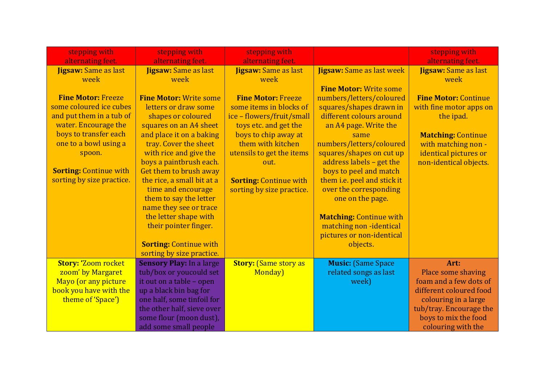| stepping with<br>alternating feet. | stepping with<br>alternating feet.                           | stepping with<br>alternating feet. |                                  | stepping with<br>alternating feet. |
|------------------------------------|--------------------------------------------------------------|------------------------------------|----------------------------------|------------------------------------|
| <b>Jigsaw:</b> Same as last        | <b>Jigsaw:</b> Same as last                                  | <b>Jigsaw: Same as last</b>        | <b>Jigsaw:</b> Same as last week | <b>Jigsaw: Same as last</b>        |
| week                               | week                                                         | week                               |                                  | week                               |
|                                    |                                                              |                                    | <b>Fine Motor: Write some</b>    |                                    |
| <b>Fine Motor: Freeze</b>          | <b>Fine Motor: Write some</b>                                | <b>Fine Motor: Freeze</b>          | numbers/letters/coloured         | <b>Fine Motor: Continue</b>        |
| some coloured ice cubes            | letters or draw some                                         | some items in blocks of            | squares/shapes drawn in          | with fine motor apps on            |
| and put them in a tub of           | shapes or coloured                                           | ice - flowers/fruit/small          | different colours around         | the ipad.                          |
| water. Encourage the               | squares on an A4 sheet                                       | toys etc. and get the              | an A4 page. Write the            |                                    |
| boys to transfer each              | and place it on a baking                                     | boys to chip away at               | same                             | <b>Matching: Continue</b>          |
| one to a bowl using a              | tray. Cover the sheet                                        | them with kitchen                  | numbers/letters/coloured         | with matching non -                |
| spoon.                             | with rice and give the                                       | utensils to get the items          | squares/shapes on cut up         | identical pictures or              |
|                                    | boys a paintbrush each.                                      | out.                               | address labels - get the         | non-identical objects.             |
| <b>Sorting: Continue with</b>      | Get them to brush away                                       |                                    | boys to peel and match           |                                    |
| sorting by size practice.          | the rice, a small bit at a                                   | <b>Sorting: Continue with</b>      | them i.e. peel and stick it      |                                    |
|                                    | time and encourage                                           | sorting by size practice.          | over the corresponding           |                                    |
|                                    | them to say the letter                                       |                                    | one on the page.                 |                                    |
|                                    | name they see or trace                                       |                                    |                                  |                                    |
|                                    | the letter shape with                                        |                                    | <b>Matching: Continue with</b>   |                                    |
|                                    | their pointer finger.                                        |                                    | matching non-identical           |                                    |
|                                    |                                                              |                                    | pictures or non-identical        |                                    |
|                                    | <b>Sorting: Continue with</b>                                |                                    | objects.                         |                                    |
| <b>Story: 'Zoom rocket</b>         | sorting by size practice.<br><b>Sensory Play: In a large</b> | <b>Story: (Same story as</b>       | <b>Music:</b> (Same Space        | Art:                               |
| zoom' by Margaret                  | tub/box or youcould set                                      | Monday)                            | related songs as last            | Place some shaving                 |
| Mayo (or any picture               | it out on a table - open                                     |                                    | week)                            | foam and a few dots of             |
| book you have with the             | up a black bin bag for                                       |                                    |                                  | different coloured food            |
| theme of 'Space')                  | one half, some tinfoil for                                   |                                    |                                  | colouring in a large               |
|                                    | the other half, sieve over                                   |                                    |                                  | tub/tray. Encourage the            |
|                                    | some flour (moon dust),                                      |                                    |                                  | boys to mix the food               |
|                                    | add some small people                                        |                                    |                                  | colouring with the                 |